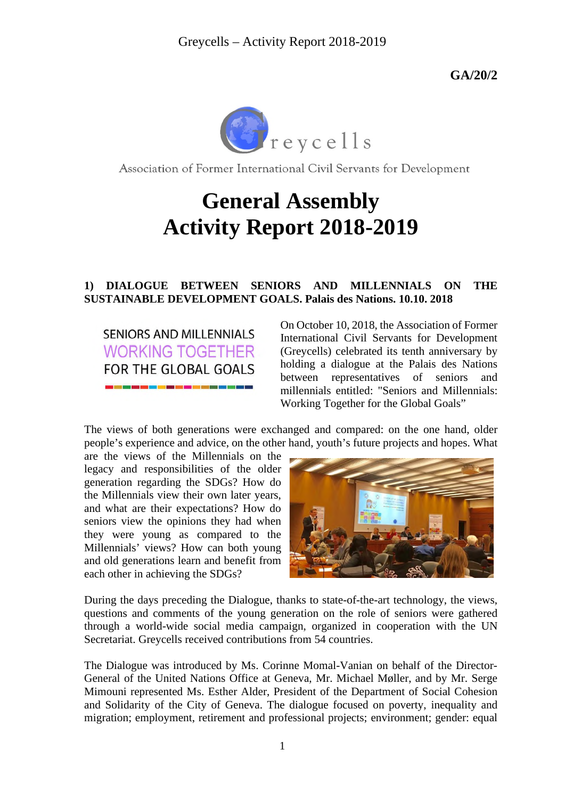

Association of Former International Civil Servants for Development

# **General Assembly Activity Report 2018-2019**

### **1) DIALOGUE BETWEEN SENIORS AND MILLENNIALS ON THE SUSTAINABLE DEVELOPMENT GOALS. Palais des Nations. 10.10. 2018**

**SENIORS AND MILLENNIALS WORKING TOGETHER** FOR THE GLOBAL GOALS

On October 10, 2018, the Association of Former International Civil Servants for Development (Greycells) celebrated its tenth anniversary by holding a dialogue at the Palais des Nations between representatives of seniors and millennials entitled: "Seniors and Millennials: Working Together for the Global Goals"

The views of both generations were exchanged and compared: on the one hand, older people's experience and advice, on the other hand, youth's future projects and hopes. What

are the views of the Millennials on the legacy and responsibilities of the older generation regarding the SDGs? How do the Millennials view their own later years, and what are their expectations? How do seniors view the opinions they had when they were young as compared to the Millennials' views? How can both young and old generations learn and benefit from each other in achieving the SDGs?



During the days preceding the Dialogue, thanks to state-of-the-art technology, the views, questions and comments of the young generation on the role of seniors were gathered through a world-wide social media campaign, organized in cooperation with the UN Secretariat. Greycells received contributions from 54 countries.

The Dialogue was introduced by Ms. Corinne Momal-Vanian on behalf of the Director-General of the United Nations Office at Geneva, Mr. Michael Møller, and by Mr. Serge Mimouni represented Ms. Esther Alder, President of the Department of Social Cohesion and Solidarity of the City of Geneva. The dialogue focused on poverty, inequality and migration; employment, retirement and professional projects; environment; gender: equal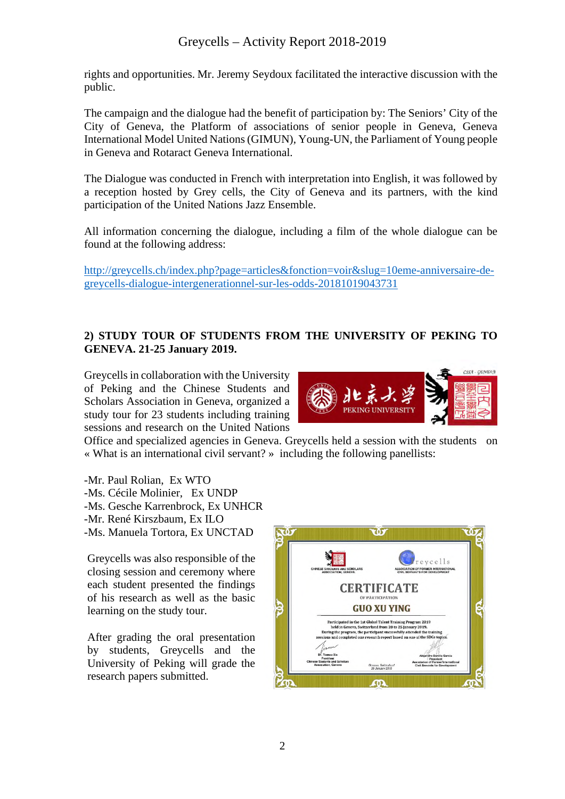rights and opportunities. Mr. Jeremy Seydoux facilitated the interactive discussion with the public.

The campaign and the dialogue had the benefit of participation by: The Seniors' City of the City of Geneva, the Platform of associations of senior people in Geneva, Geneva International Model United Nations (GIMUN), Young-UN, the Parliament of Young people in Geneva and Rotaract Geneva International.

The Dialogue was conducted in French with interpretation into English, it was followed by a reception hosted by Grey cells, the City of Geneva and its partners, with the kind participation of the United Nations Jazz Ensemble.

All information concerning the dialogue, including a film of the whole dialogue can be found at the following address:

[http://greycells.ch/index.php?page=articles&fonction=voir&slug=10eme-anniversaire-de](http://greycells.ch/index.php?page=articles&fonction=voir&slug=10eme-anniversaire-de-greycells-dialogue-intergenerationnel-sur-les-odds-20181019043731)[greycells-dialogue-intergenerationnel-sur-les-odds-20181019043731](http://greycells.ch/index.php?page=articles&fonction=voir&slug=10eme-anniversaire-de-greycells-dialogue-intergenerationnel-sur-les-odds-20181019043731)

# **2) STUDY TOUR OF STUDENTS FROM THE UNIVERSITY OF PEKING TO GENEVA. 21-25 January 2019.**

Greycells in collaboration with the University of Peking and the Chinese Students and Scholars Association in Geneva, organized a study tour for 23 students including training sessions and research on the United Nations



Office and specialized agencies in Geneva. Greycells held a session with the students on « What is an international civil servant? » including the following panellists:

-Mr. Paul Rolian, Ex WTO -Ms. Cécile Molinier, Ex UNDP -Ms. Gesche Karrenbrock, Ex UNHCR -Mr. René Kirszbaum, Ex ILO -Ms. Manuela Tortora, Ex UNCTAD

Greycells was also responsible of the closing session and ceremony where each student presented the findings of his research as well as the basic learning on the study tour.

After grading the oral presentation by students, Greycells and the University of Peking will grade the research papers submitted.

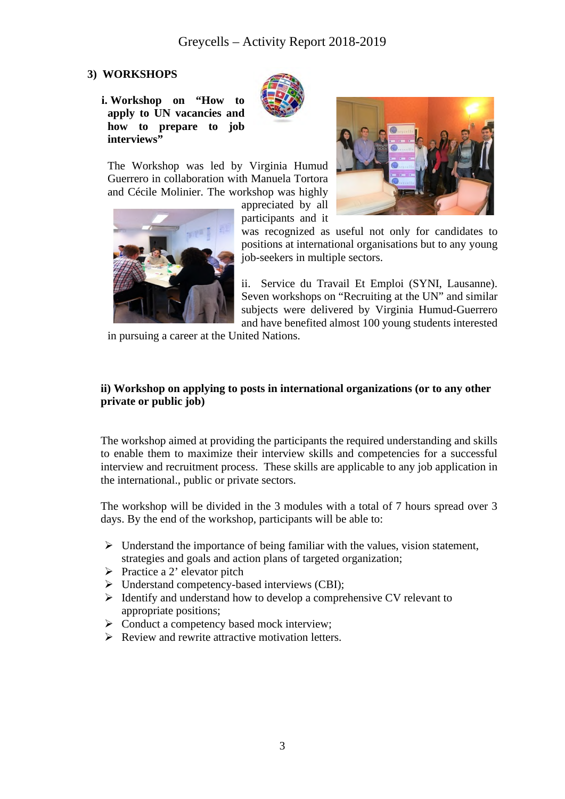# **3) WORKSHOPS**

**i. Workshop on "How to apply to UN vacancies and how to prepare to job interviews"** 



The Workshop was led by Virginia Humud Guerrero in collaboration with Manuela Tortora and Cécile Molinier. The workshop was highly

appreciated by all participants and it



was recognized as useful not only for candidates to positions at international organisations but to any young job-seekers in multiple sectors.

ii. Service du Travail Et Emploi (SYNI, Lausanne). Seven workshops on "Recruiting at the UN" and similar subjects were delivered by Virginia Humud-Guerrero and have benefited almost 100 young students interested

in pursuing a career at the United Nations.

### **ii) Workshop on applying to posts in international organizations (or to any other private or public job)**

The workshop aimed at providing the participants the required understanding and skills to enable them to maximize their interview skills and competencies for a successful interview and recruitment process. These skills are applicable to any job application in the international., public or private sectors.

The workshop will be divided in the 3 modules with a total of 7 hours spread over 3 days. By the end of the workshop, participants will be able to:

- $\triangleright$  Understand the importance of being familiar with the values, vision statement, strategies and goals and action plans of targeted organization;
- $\triangleright$  Practice a 2' elevator pitch
- $\triangleright$  Understand competency-based interviews (CBI);
- $\triangleright$  Identify and understand how to develop a comprehensive CV relevant to appropriate positions;
- $\triangleright$  Conduct a competency based mock interview;
- $\triangleright$  Review and rewrite attractive motivation letters.

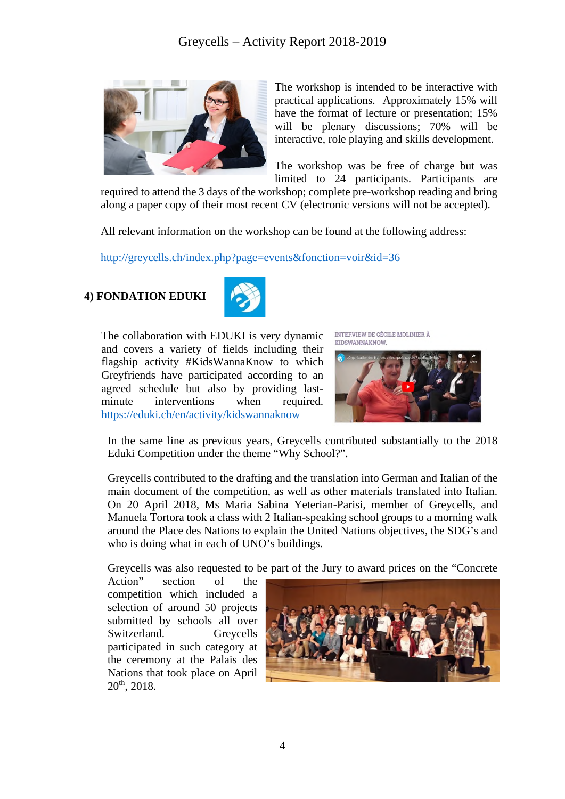

The workshop is intended to be interactive with practical applications. Approximately 15% will have the format of lecture or presentation; 15% will be plenary discussions; 70% will be interactive, role playing and skills development.

The workshop was be free of charge but was limited to 24 participants. Participants are

required to attend the 3 days of the workshop; complete pre-workshop reading and bring along a paper copy of their most recent CV (electronic versions will not be accepted).

All relevant information on the workshop can be found at the following address:

<http://greycells.ch/index.php?page=events&fonction=voir&id=36>

# **4) FONDATION EDUKI**



The collaboration with EDUKI is very dynamic and covers a variety of fields including their flagship activity #KidsWannaKnow to which Greyfriends have participated according to an agreed schedule but also by providing lastminute interventions when required. <https://eduki.ch/en/activity/kidswannaknow>

INTERVIEW DE CÉCILE MOLINIER À KIDSWANNAKNOW



In the same line as previous years, Greycells contributed substantially to the 2018 Eduki Competition under the theme "Why School?".

Greycells contributed to the drafting and the translation into German and Italian of the main document of the competition, as well as other materials translated into Italian. On 20 April 2018, Ms Maria Sabina Yeterian-Parisi, member of Greycells, and Manuela Tortora took a class with 2 Italian-speaking school groups to a morning walk around the Place des Nations to explain the United Nations objectives, the SDG's and who is doing what in each of UNO's buildings.

Greycells was also requested to be part of the Jury to award prices on the "Concrete

Action" section of the competition which included a selection of around 50 projects submitted by schools all over Switzerland. Greycells participated in such category at the ceremony at the Palais des Nations that took place on April 20th, 2018.

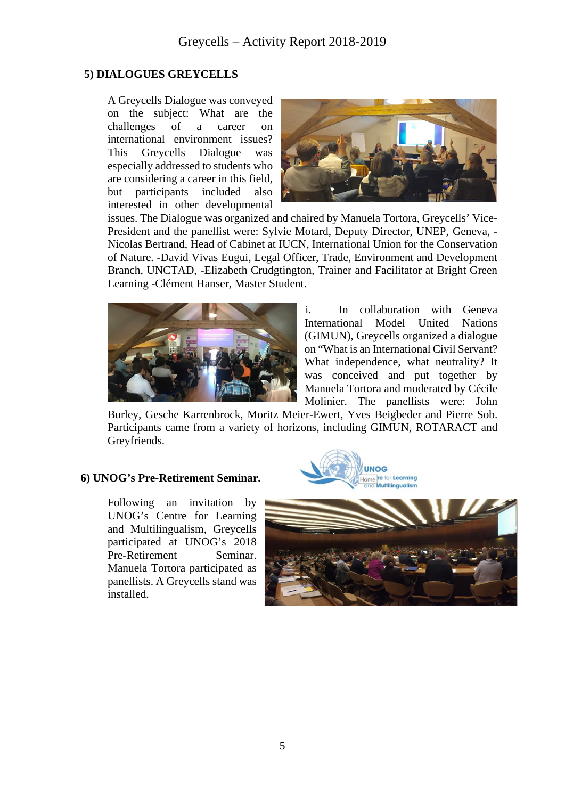### **5) DIALOGUES GREYCELLS**

A Greycells Dialogue was conveyed on the subject: What are the challenges of a career on international environment issues? This Greycells Dialogue was especially addressed to students who are considering a career in this field, but participants included also interested in other developmental



issues. The Dialogue was organized and chaired by Manuela Tortora, Greycells' Vice-President and the panellist were: Sylvie Motard, Deputy Director, UNEP, Geneva, - Nicolas Bertrand, Head of Cabinet at IUCN, International Union for the Conservation of Nature. -David Vivas Eugui, Legal Officer, Trade, Environment and Development Branch, UNCTAD, -Elizabeth Crudgtington, Trainer and Facilitator at Bright Green Learning -Clément Hanser, Master Student.



i. In collaboration with Geneva International Model United Nations (GIMUN), Greycells organized a dialogue on "What is an International Civil Servant? What independence, what neutrality? It was conceived and put together by Manuela Tortora and moderated by Cécile Molinier. The panellists were: John

Burley, Gesche Karrenbrock, Moritz Meier-Ewert, Yves Beigbeder and Pierre Sob. Participants came from a variety of horizons, including GIMUN, ROTARACT and Greyfriends.

### **6) UNOG's Pre-Retirement Seminar.**

Following an invitation by UNOG's Centre for Learning and Multilingualism, Greycells participated at UNOG's 2018 Pre-Retirement Seminar. Manuela Tortora participated as panellists. A Greycells stand was installed.



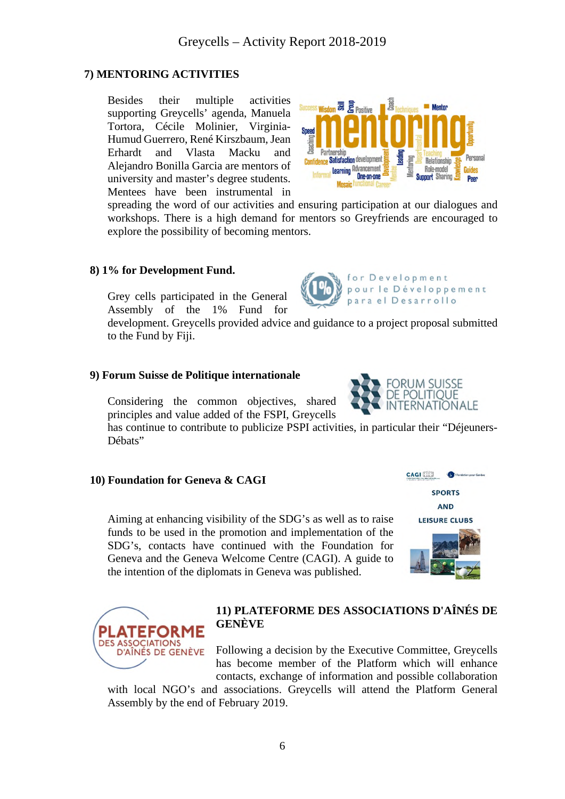# **7) MENTORING ACTIVITIES**

Besides their multiple activities supporting Greycells' agenda, Manuela Tortora, Cécile Molinier, Virginia-Humud Guerrero, René Kirszbaum, Jean Erhardt and Vlasta Macku and Alejandro Bonilla Garcia are mentors of university and master's degree students. Mentees have been instrumental in

spreading the word of our activities and ensuring participation at our dialogues and workshops. There is a high demand for mentors so Greyfriends are encouraged to explore the possibility of becoming mentors.

### **8) 1% for Development Fund.**

Grey cells participated in the General Assembly of the 1% Fund for

development. Greycells provided advice and guidance to a project proposal submitted to the Fund by Fiji.

### **9) Forum Suisse de Politique internationale**

Considering the common objectives, shared principles and value added of the FSPI, Greycells

has continue to contribute to publicize PSPI activities, in particular their "Déjeuners-Débats"

### **10) Foundation for Geneva & CAGI**

**EFORME** 

D'AÎNÉS DE GENÈVE

**DES ASSOCIATIONS** 

Aiming at enhancing visibility of the SDG's as well as to raise funds to be used in the promotion and implementation of the SDG's, contacts have continued with the Foundation for Geneva and the Geneva Welcome Centre (CAGI). A guide to the intention of the diplomats in Geneva was published.

# **11) PLATEFORME DES ASSOCIATIONS D'AÎNÉS DE GENÈVE**

Following a decision by the Executive Committee, Greycells has become member of the Platform which will enhance contacts, exchange of information and possible collaboration

with local NGO's and associations. Greycells will attend the Platform General Assembly by the end of February 2019.





O **SPORTS** 



**CAGI EEE** 



for Development

para el Desarrollo

pour le Développement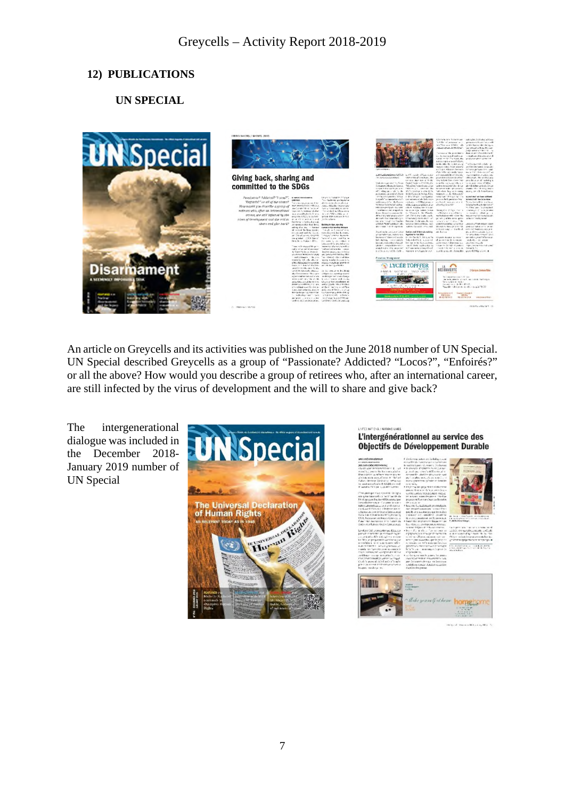# **12) PUBLICATIONS**

# **UN SPECIAL**



An article on Greycells and its activities was published on the June 2018 number of UN Special. UN Special described Greycells as a group of "Passionate? Addicted? "Locos?", "Enfoirés?" or all the above? How would you describe a group of retirees who, after an international career, are still infected by the virus of development and the will to share and give back?

The intergenerational dialogue was included in the December 2018- January 2019 number of UN Special



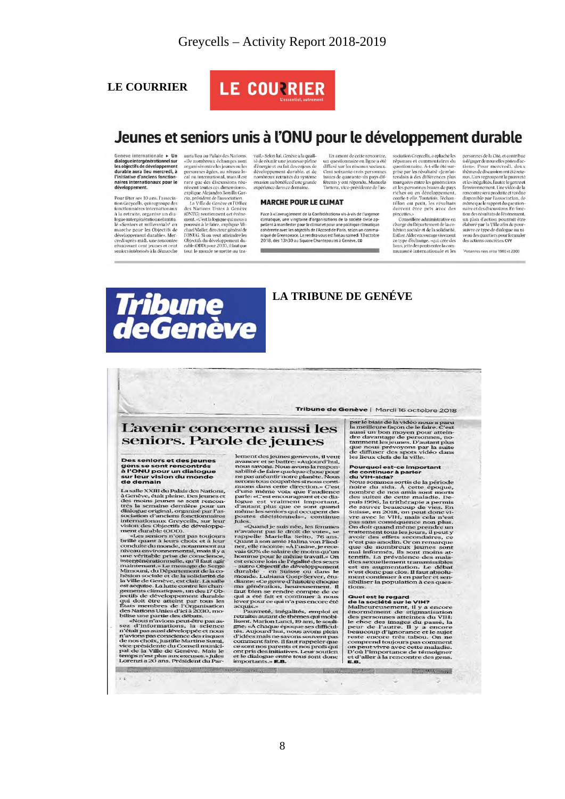### **LE COURRIER**



# Jeunes et seniors unis à l'ONU pour le développement durable

En amont de cette rencontre.

un questionnaire en ligne a été<br>diffusé sur les réseaux sociaux. Cent soixante-trois personnes

issues de quarante-six pays dif-<br>férents y ont répondu. Manuela<br>Tortora, vice-présidente de l'as-

sociation Greycells, a épluché les

réponses et commentaires du<br>questionnaire. A-t-elle été sur-<br>prise par les résultats? «Je m'at-

tendais à des différences plus

marquées entre les générations

et les personnes issues de pays<br>riches ou en développement,

confie-t-elle. Toutefois, l'échan-<br>tillon est petit, les résultats<br>doivent être pris avec des

norvent ere pris avec des<br>procettes.<br>Conseillère administrative en<br>charge du Département de la coldatife,<br>hésion sociale et de la solidarité,<br>Esther Alderencourage vivenent<br>ce type d'échange, «qui crée des<br>liens, jetté des

munauté internationale et les

Genève internationale > Un<br>dialogue intergénérationnel sur<br>les objectifs de développement<br>durable aura lieu mercredi, à l'initiative d'anciens fonction naires internationaux pour le développement.

Pour fêter ses 10 ans, l'association Gregorils, qui regroupe des<br>fonctionnaires internationaux<br> $\hat{a}$ la retraite, organise un dia-<br>logue intergénérationnaires internationaux<br>dia-<br>dia-<br>parche marche pour les Objectifs de credi après-midi, une rencontre<br>réunissant cent jeunes et cent<br>seniors intéressés à la démarche

aura lieu au Palais des Nations. aura lieu au Palais des Nations.<br>
«De nombreux échanges sont perméteux dénues ou les<br>
personnes agées, au théeur lo<br>
ce par lieux de calice de discussions réductions<br>
cal on international, mais il est<br>
rare que des discus

(ONUG) soutiennent cet événe tox to some<br>next, accelered and the metal and control and consider a consider condition<br>class a le faire, complayer Minimal consider the CONUG. Si on weat atteindre les<br>colopesitifs du développement du<br>colopesitifs du déve

vail.» Selon lui, Genève a la qualité de réunir une jeunesse pleine<br>d'énergie et au fait des enjeux de<br>développement durable, et de nombreux retraités du système onusien au bénéfice d'une grande<br>expérience dans ce domaine.

### **MARCHE POUR LE CLIMAT**

Face à «l'aveuglement de la Confédération» vis-à-vis de l'urgence climatique, une vingtaine d'organisations de la société civile appellent à manifester pour le climat et pour une politique climatique cohérente avec les objectifs de l'Accord de Paris, selon un communiqué de Greenpeace. Le rendez-vous est fixé au samedi 13 octobre<br>2018, dès 13h30 au Square Chantepoulet à Genève. CO

**LA TRIBUNE DE GENÉVE** 



Tribune de Genève | Mardi 16 octobre 2018

### L'avenir concerne aussi les seniors. Parole de jeunes

Des seniors et des jeunes<br>gens se sont rencontrés<br>à l'ONU pour un dialogue<br>sur leur vision du monde a r ONO po<br>sur leur vis<br>de demain

La salle XXIII du Palais des Nations, La sane XXII du Palais des Nations,<br>des moins jeunes et des moins jeunes et des moins jeunes se sont renon-<br>trés la semaine dernière pour un dialogue original, organisé par l'as-<br>sociation d'anciens fonctionnaires<br>internat

internationaux Greycells, sur leur<br>niem des Objectifs de développement durable (ODD).<br>met durable (ODD).<br>met durable (ODD).<br>sur sur dura deux choix et à leur<br>niveau environnmental, mas il y a<br>niveau environnmental, mas il

 $\frac{1}{2}$ 

ĸ

lement des jeunes genevois, il veut<br>avancer et se battre: «Aujourd'hui, nous savons la vance avois la responsion solidité de faire quelque chose pour<br>se pour ne pas anéantir nore planéte. Nous<br>erons tous coupables si nous

neme les senors qui occupent des senors qui comparat postes décisionnels», continue qui se dans d'aquant postes d'aquant postes d'aquant as la droit de ves, se capar arguelle Mariella Seito, 76 ans.<br>Quant à son ambre Halin

par le biais de la vidéo nous a paru<br>la meilleure façon de le faire. C'est<br>la meilleure façon de le faire. C'est<br>dre davantage de personnes, nous<br>tamment les jeunes. D'autant plus<br>que annume is jeunes. D'autant plus<br>de de

ies lieux des ayas vius de la sine de la sine de la sine de continuer à parler<br>les lieux clets de la ville,<br>Nous sommes sorts de la période<br>hous sommes sorts de la période<br>noire du sida. À cette époque,<br>noire du sida. À ce

**Community of the study of the study of the study of the study of the study of the study of the study of the study of the study of the study of the study of the study of the study of the study of the study of the study of** 

due is the regard<br>
cons.<br>
consider the view of the state of the state of the associété sur le view<br>
manifolds and the surface form of the specific constant of the peak<br>
peak of the constant of the specific peak<br>
peak of t

G

personnes de la Cité, et contribue à dégager de nouvelles pistes d'ac-<br>tion». Pour mercred1, deux<br>thèmes de discussion ont été retenus. L'un regroupant la pauvreté<br>et les inégalités. l'autre le genre et l'environnement. Une vidéo de la rencontre sera produite et rendue<br>disponible par l'association, de aisponible par l'association, de<br>même que le rapport du question<br>naire et des discussions. En fonc-<br>tion des résultats de l'événement. un plan d'action pourrait être<br>élaboré par la Ville afin de pour-<br>suivre ce type de dialogue au niveau des quartiers pour formuler<br>des actions concrètes. CVY

Personnes nées entre 1980 et 2000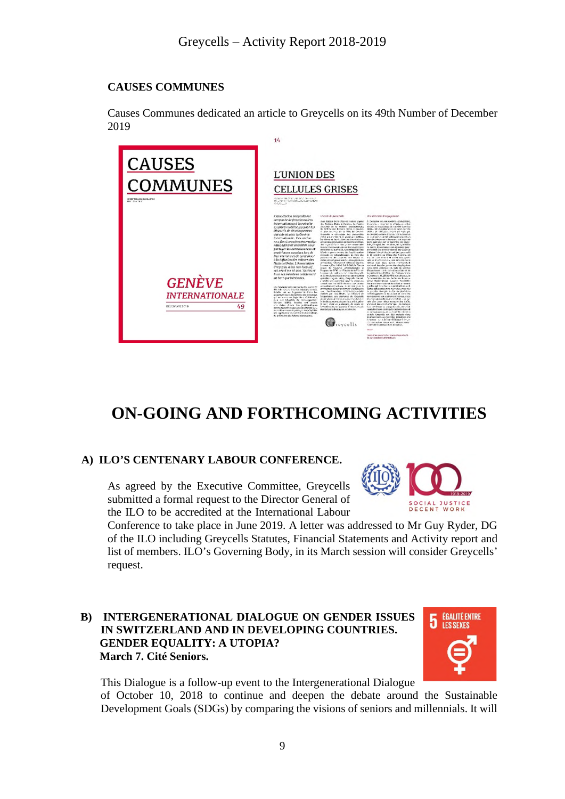# **CAUSES COMMUNES**

Causes Communes dedicated an article to Greycells on its 49th Number of December 2019



# **ON-GOING AND FORTHCOMING ACTIVITIES**

# **A) ILO'S CENTENARY LABOUR CONFERENCE.**

As agreed by the Executive Committee, Greycells submitted a formal request to the Director General of the ILO to be accredited at the International Labour



Conference to take place in June 2019. A letter was addressed to Mr Guy Ryder, DG of the ILO including Greycells Statutes, Financial Statements and Activity report and list of members. ILO's Governing Body, in its March session will consider Greycells' request.

# **B) INTERGENERATIONAL DIALOGUE ON GENDER ISSUES IN SWITZERLAND AND IN DEVELOPING COUNTRIES. GENDER EQUALITY: A UTOPIA? March 7. Cité Seniors.**



This Dialogue is a follow-up event to the Intergenerational Dialogue of October 10, 2018 to continue and deepen the debate around the Sustainable Development Goals (SDGs) by comparing the visions of seniors and millennials. It will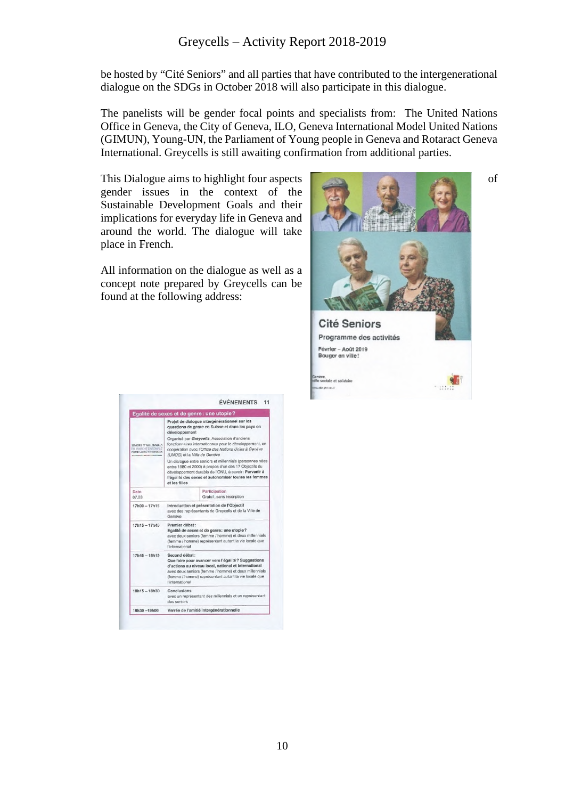be hosted by "Cité Seniors" and all parties that have contributed to the intergenerational dialogue on the SDGs in October 2018 will also participate in this dialogue.

The panelists will be gender focal points and specialists from: The United Nations Office in Geneva, the City of Geneva, ILO, Geneva International Model United Nations (GIMUN), Young-UN, the Parliament of Young people in Geneva and Rotaract Geneva International. Greycells is still awaiting confirmation from additional parties.

This Dialogue aims to highlight four aspects of of gender issues in the context of the Sustainable Development Goals and their implications for everyday life in Geneva and around the world. The dialogue will take place in French.

All information on the dialogue as well as a concept note prepared by Greycells can be found at the following address:



|                                                                             |                                                                                                                                                                                                                                                                   | Egalité de sexes et de genre : une utopie?                                                                                                                                                                                         |
|-----------------------------------------------------------------------------|-------------------------------------------------------------------------------------------------------------------------------------------------------------------------------------------------------------------------------------------------------------------|------------------------------------------------------------------------------------------------------------------------------------------------------------------------------------------------------------------------------------|
| SENIORS ET MILLENNIALS<br>EN MARCHE ENSEMRLE<br>FOUR LES CRIECTIES NOYORATE | Proiet de dialogue intergénérationnel sur les<br>questions de genre en Sulsse et dans les pays en<br>développement                                                                                                                                                |                                                                                                                                                                                                                                    |
|                                                                             | Organisé par Greycells, Association d'anciens<br>fonctionnaires internationaux pour le développement, en<br>coopération avec l'Office des Nations Unies à Genève<br>(UNOG) et la Ville de Genève                                                                  |                                                                                                                                                                                                                                    |
|                                                                             | at les filles                                                                                                                                                                                                                                                     | Un dialogue entre seniors et millennials (personnes nées<br>entre 1980 et 2000) à propos d'un des 17 Objectifs du<br>développement durable de l'ONU, à savoir : Parvenir à<br>l'égalité des sexes et autonomiser toutes les femmes |
| Date<br>07.03                                                               |                                                                                                                                                                                                                                                                   | Participation<br>Gratuit, sans inscription                                                                                                                                                                                         |
| $17h00 - 17h15$                                                             | Introduction et présentation de l'Objectif<br>avec des représentants de Greycells et de la Ville de<br>Genève                                                                                                                                                     |                                                                                                                                                                                                                                    |
| $17h15 - 17h45$                                                             | Premier débat:<br>Egalité de sexes et de genre : une utopie?<br>avec deux seniors (femme / homme) et deux millennials<br>(femme / homme) représentant autant la vie locale que<br>l'international                                                                 |                                                                                                                                                                                                                                    |
| $17h45 - 18h15$                                                             | Second débat:<br>Que faire pour avancer vers l'égalité ? Suggestions<br>d'actions au niveau local, national et international<br>avec deux seniors (femme / homme) et deux millennials<br>(femme / homme) représentant autant la vie locale que<br>l'international |                                                                                                                                                                                                                                    |
| $18h15 - 18h30$                                                             | Conclusions<br>avec un représentant des millennials et un représentant<br>des seniors                                                                                                                                                                             |                                                                                                                                                                                                                                    |
| 18h30-19h00                                                                 | Verrée de l'amitié intergénérationnelle                                                                                                                                                                                                                           |                                                                                                                                                                                                                                    |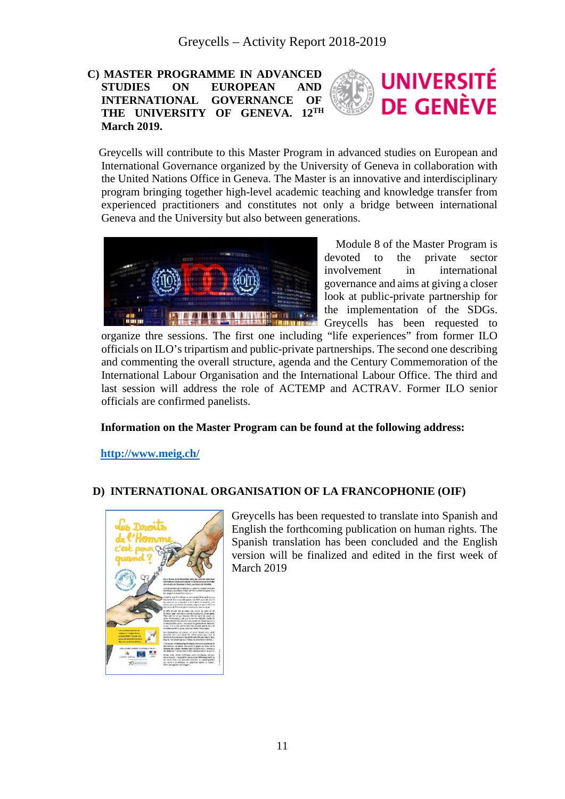### **C) MASTER PROGRAMME IN ADVANCED UNIVERSITÉ STUDIES ON EUROPEAN AND INTERNATIONAL GOVERNANCE OF DE GENÈVE THE UNIVERSITY OF GENEVA. 12TH March 2019.**

 Greycells will contribute to this Master Program in advanced studies on European and International Governance organized by the University of Geneva in collaboration with the United Nations Office in Geneva. The Master is an innovative and interdisciplinary program bringing together high-level academic teaching and knowledge transfer from experienced practitioners and constitutes not only a bridge between international Geneva and the University but also between generations.



 Module 8 of the Master Program is devoted to the private sector involvement in international governance and aims at giving a closer look at public-private partnership for the implementation of the SDGs. Greycells has been requested to

organize thre sessions. The first one including "life experiences" from former ILO officials on ILO's tripartism and public-private partnerships. The second one describing and commenting the overall structure, agenda and the Century Commemoration of the International Labour Organisation and the International Labour Office. The third and last session will address the role of ACTEMP and ACTRAV. Former ILO senior officials are confirmed panelists.

### **Information on the Master Program can be found at the following address:**

**<http://www.meig.ch/>**

### **D) INTERNATIONAL ORGANISATION OF LA FRANCOPHONIE (OIF)**



Greycells has been requested to translate into Spanish and English the forthcoming publication on human rights. The Spanish translation has been concluded and the English version will be finalized and edited in the first week of March 2019